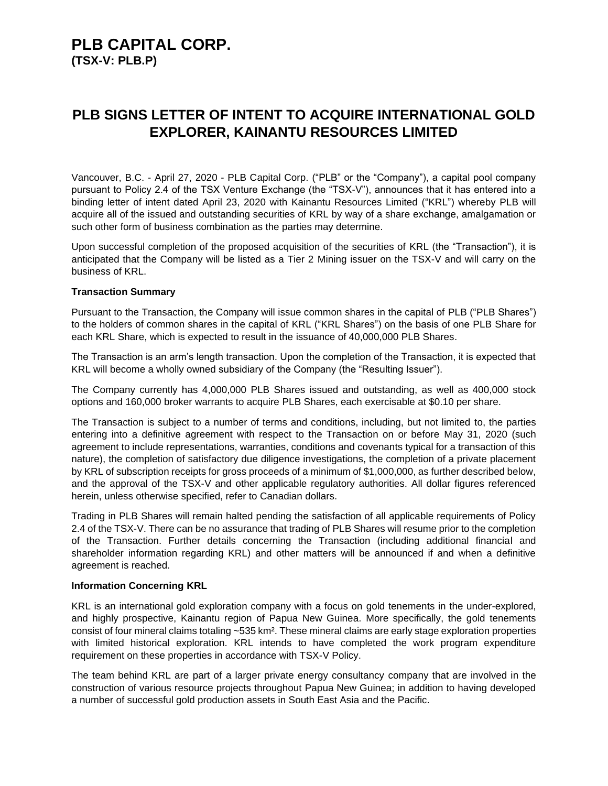# **PLB CAPITAL CORP. (TSX-V: PLB.P)**

# **PLB SIGNS LETTER OF INTENT TO ACQUIRE INTERNATIONAL GOLD EXPLORER, KAINANTU RESOURCES LIMITED**

Vancouver, B.C. - April 27, 2020 - PLB Capital Corp. ("PLB" or the "Company"), a capital pool company pursuant to Policy 2.4 of the TSX Venture Exchange (the "TSX-V"), announces that it has entered into a binding letter of intent dated April 23, 2020 with Kainantu Resources Limited ("KRL") whereby PLB will acquire all of the issued and outstanding securities of KRL by way of a share exchange, amalgamation or such other form of business combination as the parties may determine.

Upon successful completion of the proposed acquisition of the securities of KRL (the "Transaction"), it is anticipated that the Company will be listed as a Tier 2 Mining issuer on the TSX-V and will carry on the business of KRL.

#### **Transaction Summary**

Pursuant to the Transaction, the Company will issue common shares in the capital of PLB ("PLB Shares") to the holders of common shares in the capital of KRL ("KRL Shares") on the basis of one PLB Share for each KRL Share, which is expected to result in the issuance of 40,000,000 PLB Shares.

The Transaction is an arm's length transaction. Upon the completion of the Transaction, it is expected that KRL will become a wholly owned subsidiary of the Company (the "Resulting Issuer").

The Company currently has 4,000,000 PLB Shares issued and outstanding, as well as 400,000 stock options and 160,000 broker warrants to acquire PLB Shares, each exercisable at \$0.10 per share.

The Transaction is subject to a number of terms and conditions, including, but not limited to, the parties entering into a definitive agreement with respect to the Transaction on or before May 31, 2020 (such agreement to include representations, warranties, conditions and covenants typical for a transaction of this nature), the completion of satisfactory due diligence investigations, the completion of a private placement by KRL of subscription receipts for gross proceeds of a minimum of \$1,000,000, as further described below, and the approval of the TSX-V and other applicable regulatory authorities. All dollar figures referenced herein, unless otherwise specified, refer to Canadian dollars.

Trading in PLB Shares will remain halted pending the satisfaction of all applicable requirements of Policy 2.4 of the TSX-V. There can be no assurance that trading of PLB Shares will resume prior to the completion of the Transaction. Further details concerning the Transaction (including additional financial and shareholder information regarding KRL) and other matters will be announced if and when a definitive agreement is reached.

#### **Information Concerning KRL**

KRL is an international gold exploration company with a focus on gold tenements in the under-explored, and highly prospective, Kainantu region of Papua New Guinea. More specifically, the gold tenements consist of four mineral claims totaling ~535 km². These mineral claims are early stage exploration properties with limited historical exploration. KRL intends to have completed the work program expenditure requirement on these properties in accordance with TSX-V Policy.

The team behind KRL are part of a larger private energy consultancy company that are involved in the construction of various resource projects throughout Papua New Guinea; in addition to having developed a number of successful gold production assets in South East Asia and the Pacific.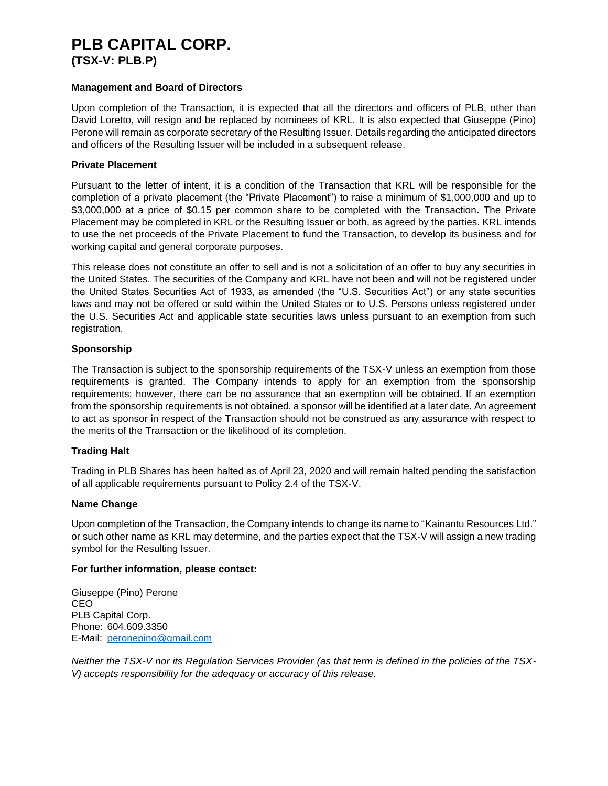# **PLB CAPITAL CORP.**

**(TSX-V: PLB.P)**

## **Management and Board of Directors**

Upon completion of the Transaction, it is expected that all the directors and officers of PLB, other than David Loretto, will resign and be replaced by nominees of KRL. It is also expected that Giuseppe (Pino) Perone will remain as corporate secretary of the Resulting Issuer. Details regarding the anticipated directors and officers of the Resulting Issuer will be included in a subsequent release.

## **Private Placement**

Pursuant to the letter of intent, it is a condition of the Transaction that KRL will be responsible for the completion of a private placement (the "Private Placement") to raise a minimum of \$1,000,000 and up to \$3,000,000 at a price of \$0.15 per common share to be completed with the Transaction. The Private Placement may be completed in KRL or the Resulting Issuer or both, as agreed by the parties. KRL intends to use the net proceeds of the Private Placement to fund the Transaction, to develop its business and for working capital and general corporate purposes.

This release does not constitute an offer to sell and is not a solicitation of an offer to buy any securities in the United States. The securities of the Company and KRL have not been and will not be registered under the United States Securities Act of 1933, as amended (the "U.S. Securities Act") or any state securities laws and may not be offered or sold within the United States or to U.S. Persons unless registered under the U.S. Securities Act and applicable state securities laws unless pursuant to an exemption from such registration.

# **Sponsorship**

The Transaction is subject to the sponsorship requirements of the TSX-V unless an exemption from those requirements is granted. The Company intends to apply for an exemption from the sponsorship requirements; however, there can be no assurance that an exemption will be obtained. If an exemption from the sponsorship requirements is not obtained, a sponsor will be identified at a later date. An agreement to act as sponsor in respect of the Transaction should not be construed as any assurance with respect to the merits of the Transaction or the likelihood of its completion.

# **Trading Halt**

Trading in PLB Shares has been halted as of April 23, 2020 and will remain halted pending the satisfaction of all applicable requirements pursuant to Policy 2.4 of the TSX-V.

# **Name Change**

Upon completion of the Transaction, the Company intends to change its name to "Kainantu Resources Ltd." or such other name as KRL may determine, and the parties expect that the TSX-V will assign a new trading symbol for the Resulting Issuer.

#### **For further information, please contact:**

Giuseppe (Pino) Perone CEO PLB Capital Corp. Phone: 604.609.3350 E-Mail: [peronepino@gmail.com](mailto:peronepino@gmail.com)

*Neither the TSX-V nor its Regulation Services Provider (as that term is defined in the policies of the TSX-V) accepts responsibility for the adequacy or accuracy of this release.*